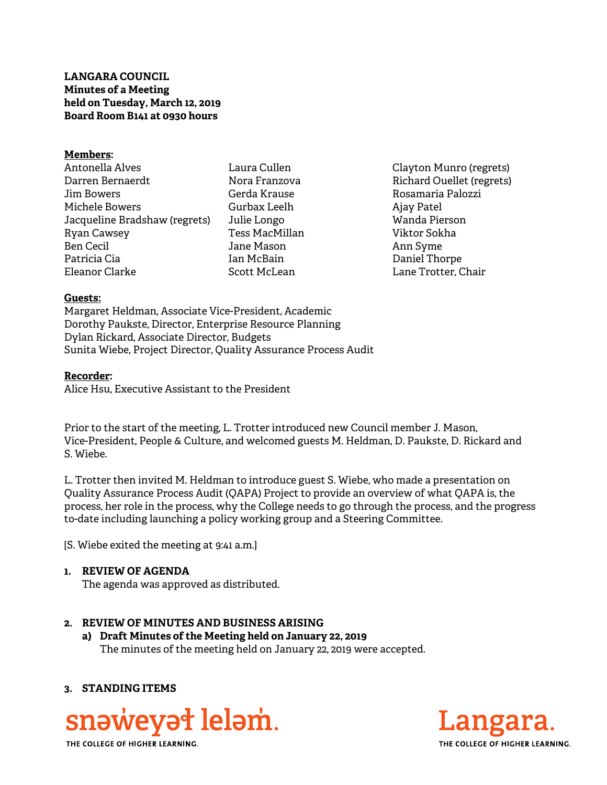**LANGARA COUNCIL Minutes of a Meeting held on Tuesday, March 12, 2019 Board Room B141 at 0930 hours** 

#### **Members:**

Antonella Alves Darren Bernaerdt Jim Bowers Michele Bowers Jacqueline Bradshaw (regrets) Ryan Cawsey Ben Cecil Patricia Cia Eleanor Clarke

Laura Cullen Nora Franzova Gerda Krause Gurbax Leelh Julie Longo Tess MacMillan Jane Mason Ian McBain Scott McLean

Clayton Munro (regrets) Richard Ouellet (regrets) Rosamaria Palozzi Ajay Patel Wanda Pierson Viktor Sokha Ann Syme Daniel Thorpe Lane Trotter, Chair

#### **Guests:**

Margaret Heldman, Associate Vice-President, Academic Dorothy Paukste, Director, Enterprise Resource Planning Dylan Rickard, Associate Director, Budgets Sunita Wiebe, Project Director, Quality Assurance Process Audit

#### **Recorder:**

Alice Hsu, Executive Assistant to the President

Prior to the start of the meeting, L. Trotter introduced new Council member J. Mason, Vice-President, People & Culture, and welcomed guests M. Heldman, D. Paukste, D. Rickard and S. Wiebe.

L. Trotter then invited M. Heldman to introduce guest S. Wiebe, who made a presentation on Quality Assurance Process Audit (QAPA) Project to provide an overview of what QAPA is, the process, her role in the process, why the College needs to go through the process, and the progress to-date including launching a policy working group and a Steering Committee.

[S. Wiebe exited the meeting at 9:41 a.m.]

#### **1. REVIEW OF AGENDA**

The agenda was approved as distributed.

#### **2. REVIEW OF MINUTES AND BUSINESS ARISING**

**a) Draft Minutes of the Meeting held on January 22, 2019**  The minutes of the meeting held on January 22, 2019 were accepted.

### **3. STANDING ITEMS**





THE COLLEGE OF HIGHER LEARNING.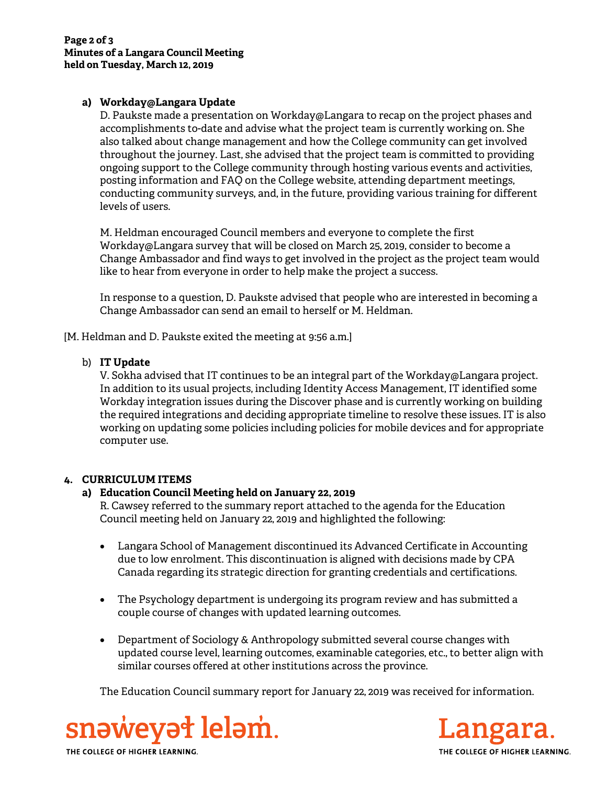# **a) Workday@Langara Update**

D. Paukste made a presentation on Workday@Langara to recap on the project phases and accomplishments to-date and advise what the project team is currently working on. She also talked about change management and how the College community can get involved throughout the journey. Last, she advised that the project team is committed to providing ongoing support to the College community through hosting various events and activities, posting information and FAQ on the College website, attending department meetings, conducting community surveys, and, in the future, providing various training for different levels of users.

M. Heldman encouraged Council members and everyone to complete the first Workday@Langara survey that will be closed on March 25, 2019, consider to become a Change Ambassador and find ways to get involved in the project as the project team would like to hear from everyone in order to help make the project a success.

In response to a question, D. Paukste advised that people who are interested in becoming a Change Ambassador can send an email to herself or M. Heldman.

[M. Heldman and D. Paukste exited the meeting at 9:56 a.m.]

## b) **IT Update**

V. Sokha advised that IT continues to be an integral part of the Workday@Langara project. In addition to its usual projects, including Identity Access Management, IT identified some Workday integration issues during the Discover phase and is currently working on building the required integrations and deciding appropriate timeline to resolve these issues. IT is also working on updating some policies including policies for mobile devices and for appropriate computer use.

# **4. CURRICULUM ITEMS**

# **a) Education Council Meeting held on January 22, 2019**

R. Cawsey referred to the summary report attached to the agenda for the Education Council meeting held on January 22, 2019 and highlighted the following:

- Langara School of Management discontinued its Advanced Certificate in Accounting due to low enrolment. This discontinuation is aligned with decisions made by CPA Canada regarding its strategic direction for granting credentials and certifications.
- The Psychology department is undergoing its program review and has submitted a couple course of changes with updated learning outcomes.
- Department of Sociology & Anthropology submitted several course changes with updated course level, learning outcomes, examinable categories, etc., to better align with similar courses offered at other institutions across the province.

The Education Council summary report for January 22, 2019 was received for information.